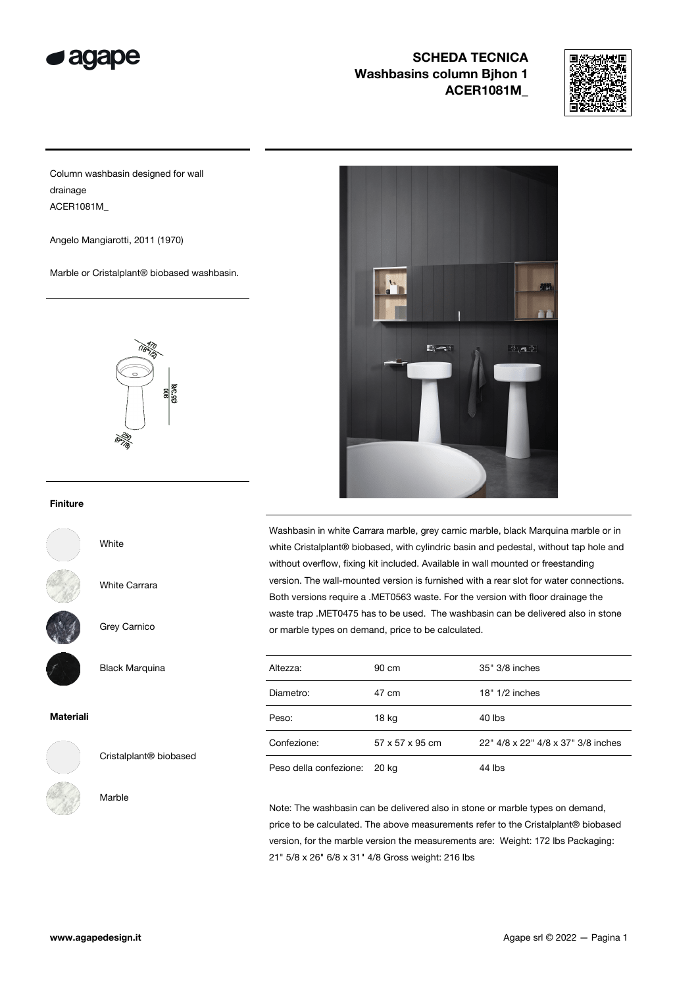



Column washbasin designed for wall drainage ACER1081M\_

Angelo Mangiarotti, 2011 (1970)

Marble or Cristalplant® biobased washbasin.



#### Finiture



White

White Carrara

Black Marquina

Grey Carnico



#### Materiali



Cristalplant® biobased

#### Marble



Washbasin in white Carrara marble, grey carnic marble, black Marquina marble or in white Cristalplant® biobased, with cylindric basin and pedestal, without tap hole and without overflow, fixing kit included. Available in wall mounted or freestanding version. The wall-mounted version is furnished with a rear slot for water connections. Both versions require a .MET0563 waste. For the version with floor drainage the waste trap .MET0475 has to be used. The washbasin can be delivered also in stone or marble types on demand, price to be calculated.

| Altezza:               | 90 cm           | 35" 3/8 inches                     |
|------------------------|-----------------|------------------------------------|
| Diametro:              | 47 cm           | $18" 1/2$ inches                   |
| Peso:                  | 18 kg           | 40 lbs                             |
| Confezione:            | 57 x 57 x 95 cm | 22" 4/8 x 22" 4/8 x 37" 3/8 inches |
| Peso della confezione: | 20 kg           | 44 lbs                             |

Note: The washbasin can be delivered also in stone or marble types on demand, price to be calculated. The above measurements refer to the Cristalplant® biobased version, for the marble version the measurements are: Weight: 172 lbs Packaging: 21" 5/8 x 26" 6/8 x 31" 4/8 Gross weight: 216 lbs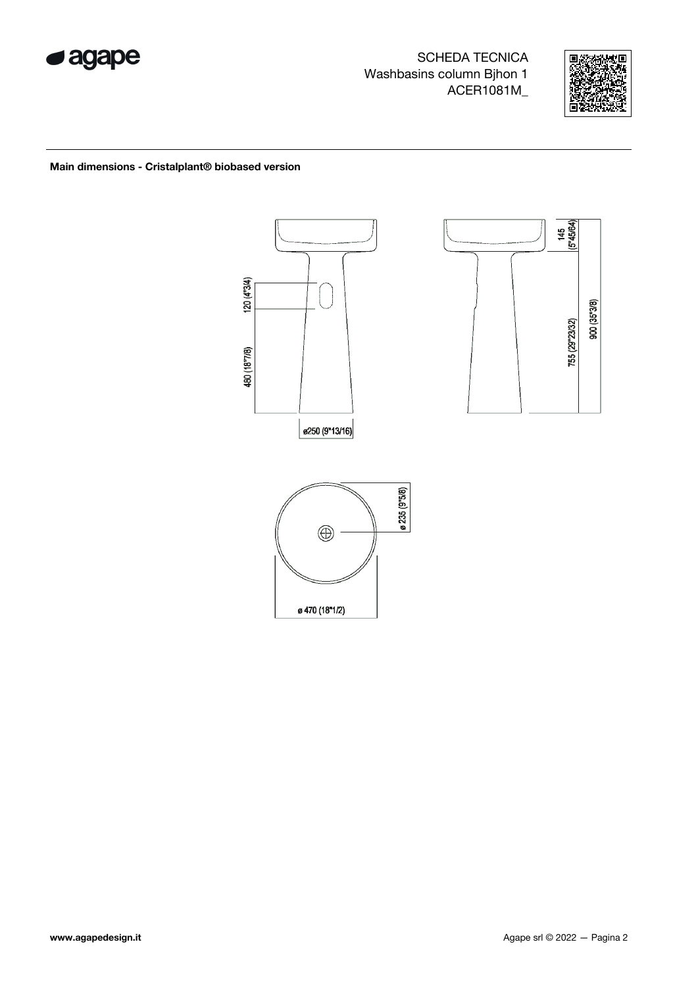



Main dimensions - Cristalplant® biobased version

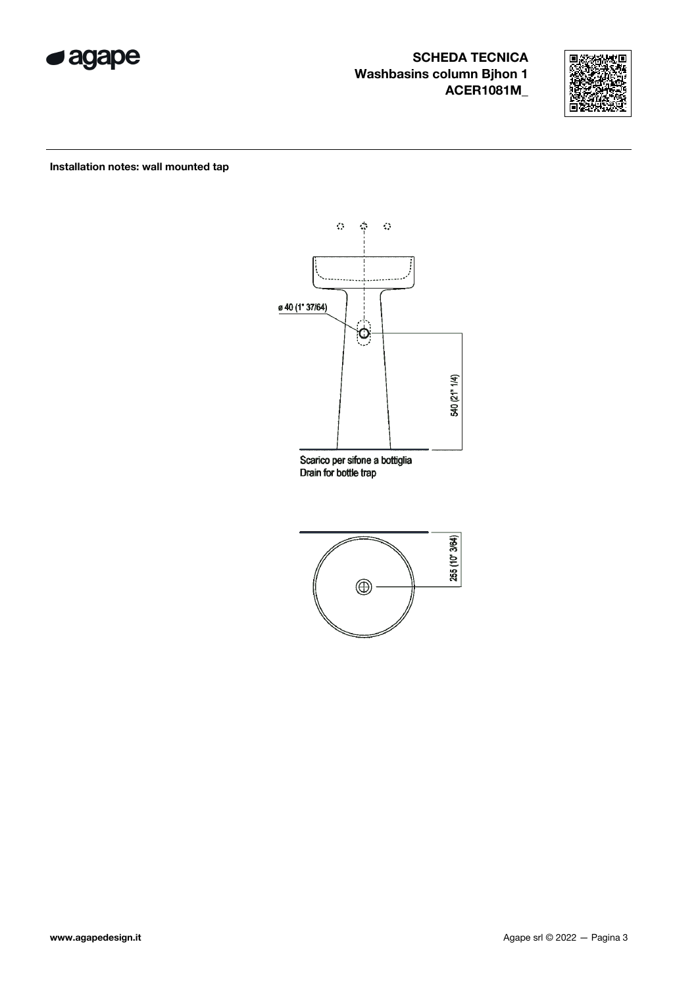



Installation notes: wall mounted tap



Scarico per sifone a bottiglia Drain for bottle trap

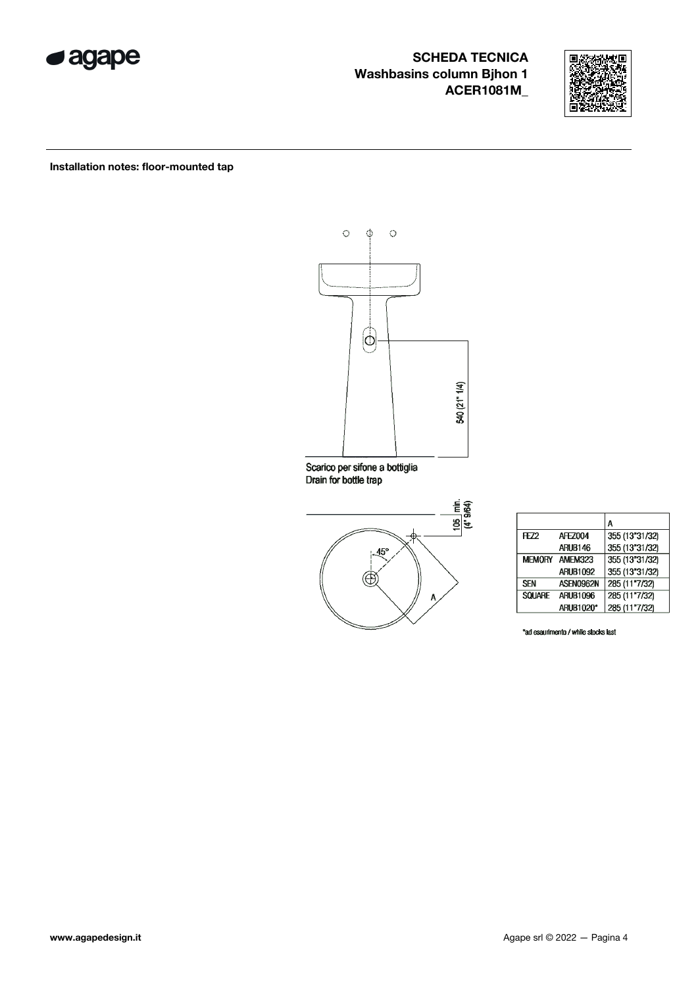



Installation notes: floor-mounted tap



Scarico per sifone a bottiglia<br>Drain for bottle trap



|                 |                  | Α              |
|-----------------|------------------|----------------|
| H <sub>72</sub> | AFF7004          | 355 (13"31/32) |
|                 | ARUB146          | 355 (13"31/32) |
|                 | MEMORY AMEM323   | 355 (13"31/32) |
|                 | <b>ARUB1092</b>  | 355 (13"31/32) |
| <b>SEN</b>      | ASEN0962N        | 285 (11"7/32)  |
| <b>SOLIARE</b>  | <b>ARUB1096</b>  | 285 (11"7/32)  |
|                 | <b>ARUB1020*</b> | 285 (11"7/32)  |

\*ad esaurimento / while stocks last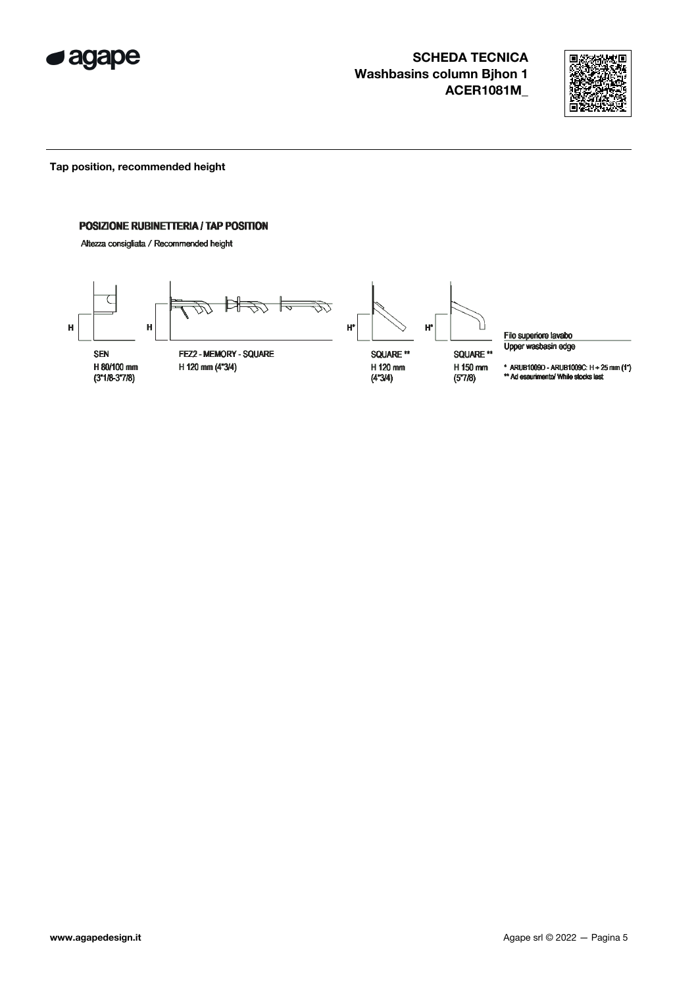



Tap position, recommended height

#### POSIZIONE RUBINETTERIA / TAP POSITION

Altezza consigliata / Recommended height



Filo superiore lavabo Upper wasbasin edge

\* ARUB1009D - ARUB1009C:  $H + 25$  mm  $(1")$ <br>\*\* Ad esaurimento/ While stocks last